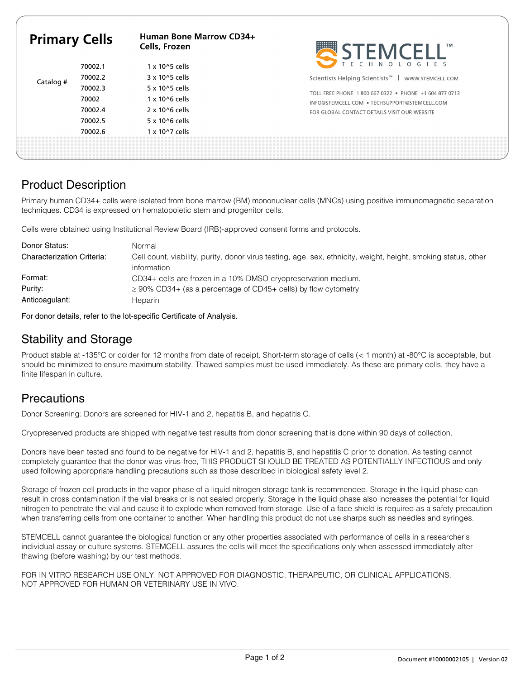| <b>Primary Cells</b> |         | Human Bone Marrow CD34+<br>Cells, Frozen | <b>STEMCELL</b>                                                                                       |
|----------------------|---------|------------------------------------------|-------------------------------------------------------------------------------------------------------|
|                      | 70002.1 | $1 \times 10^{6}$ cells                  | T E C H N O L O G I E S                                                                               |
| Catalog #            | 70002.2 | 3 x 10^5 cells                           | Scientists Helping Scientists <sup>™</sup>  <br>WWW.STEMCELL.COM                                      |
|                      | 70002.3 | 5 x 10^5 cells                           | TOLL FREE PHONE 1800 667 0322 • PHONE +1 604 877 0713<br>INFO@STEMCELL.COM . TECHSUPPORT@STEMCELL.COM |
|                      | 70002   | $1 \times 10^{6}$ cells                  |                                                                                                       |
|                      | 70002.4 | $2 \times 10^{6}$ cells                  | FOR GLOBAL CONTACT DETAILS VISIT OUR WEBSITE                                                          |
|                      | 70002.5 | 5 x 10^6 cells                           |                                                                                                       |
|                      | 70002.6 | $1 \times 10^{2}$ cells                  |                                                                                                       |
|                      |         |                                          |                                                                                                       |

## Product Description

Primary human CD34+ cells were isolated from bone marrow (BM) mononuclear cells (MNCs) using positive immunomagnetic separation techniques. CD34 is expressed on hematopoietic stem and progenitor cells.

Cells were obtained using Institutional Review Board (IRB)-approved consent forms and protocols.

| Donor Status:                     | Normal                                                                                                                        |
|-----------------------------------|-------------------------------------------------------------------------------------------------------------------------------|
| <b>Characterization Criteria:</b> | Cell count, viability, purity, donor virus testing, age, sex, ethnicity, weight, height, smoking status, other<br>information |
| Format:                           | CD34+ cells are frozen in a 10% DMSO cryopreservation medium.                                                                 |
| Purity:                           | $\geq$ 90% CD34+ (as a percentage of CD45+ cells) by flow cytometry                                                           |
| Anticoagulant:                    | Heparin                                                                                                                       |

For donor details, refer to the lot-specific Certificate of Analysis.

### Stability and Storage

Product stable at -135°C or colder for 12 months from date of receipt. Short-term storage of cells (< 1 month) at -80°C is acceptable, but should be minimized to ensure maximum stability. Thawed samples must be used immediately. As these are primary cells, they have a finite lifespan in culture.

# **Precautions**

Donor Screening: Donors are screened for HIV-1 and 2, hepatitis B, and hepatitis C.

Cryopreserved products are shipped with negative test results from donor screening that is done within 90 days of collection.

Donors have been tested and found to be negative for HIV-1 and 2, hepatitis B, and hepatitis C prior to donation. As testing cannot completely guarantee that the donor was virus-free, THIS PRODUCT SHOULD BE TREATED AS POTENTIALLY INFECTIOUS and only used following appropriate handling precautions such as those described in biological safety level 2.

Storage of frozen cell products in the vapor phase of a liquid nitrogen storage tank is recommended. Storage in the liquid phase can result in cross contamination if the vial breaks or is not sealed properly. Storage in the liquid phase also increases the potential for liquid nitrogen to penetrate the vial and cause it to explode when removed from storage. Use of a face shield is required as a safety precaution when transferring cells from one container to another. When handling this product do not use sharps such as needles and syringes.

STEMCELL cannot guarantee the biological function or any other properties associated with performance of cells in a researcher's individual assay or culture systems. STEMCELL assures the cells will meet the specifications only when assessed immediately after thawing (before washing) by our test methods.

FOR IN VITRO RESEARCH USE ONLY. NOT APPROVED FOR DIAGNOSTIC, THERAPEUTIC, OR CLINICAL APPLICATIONS. NOT APPROVED FOR HUMAN OR VETERINARY USE IN VIVO.